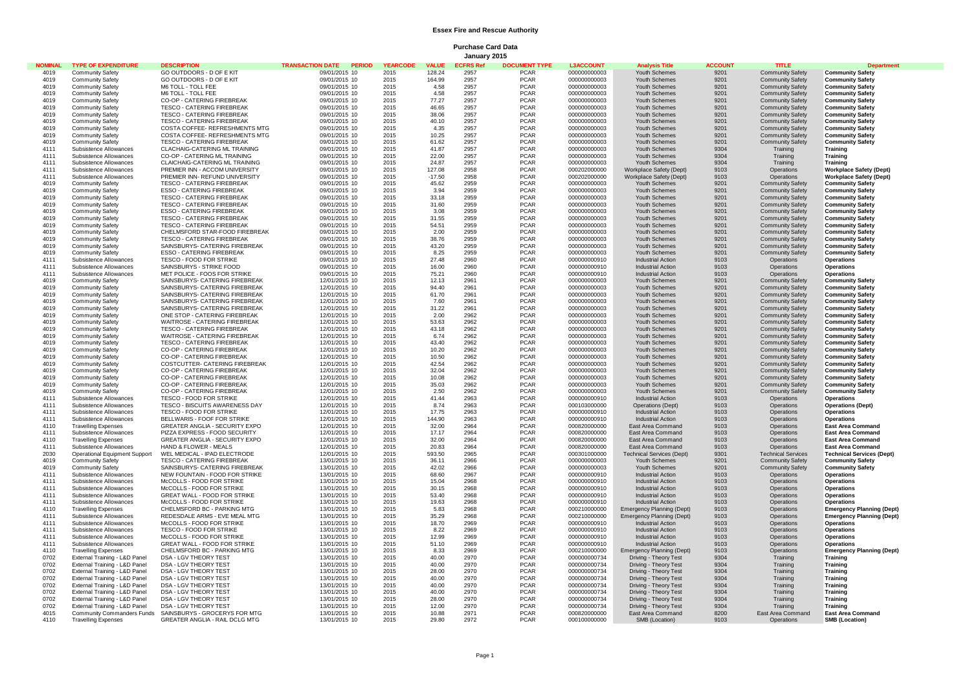## **Essex Fire and Rescue Authority**

**Purchase Card Data January 2015**

| <b>NOMINAL</b> | <b>TYPE OF EXPENDITURE</b>                           | <b>DESCRIPTION</b>                                                    | <b>TRANSACTION DATE PERIOD</b> | <b>YEARCODE</b> | <b>VALUE</b>    | <b>ECFRS Ret</b> | <b>DOCUMENT TYPE</b>       | <b>L3ACCOUNT</b>             | <b>Analysis Title</b>                                 | <b>ACCOUNT</b> | <b>TITLE</b>                                       | <b>Department</b>                                     |
|----------------|------------------------------------------------------|-----------------------------------------------------------------------|--------------------------------|-----------------|-----------------|------------------|----------------------------|------------------------------|-------------------------------------------------------|----------------|----------------------------------------------------|-------------------------------------------------------|
| 4019           | <b>Community Safety</b>                              | GO OUTDOORS - D OF E KIT                                              | 09/01/2015 10                  | 2015            | 128.24          | 2957             | <b>PCAR</b>                | 000000000003                 | Youth Schemes                                         | 9201           | <b>Community Safety</b>                            | <b>Community Safety</b>                               |
| 4019           | <b>Community Safety</b>                              | GO OUTDOORS - D OF E KIT                                              | 09/01/2015 10                  | 2015            | 164.99          | 2957             | <b>PCAR</b>                | 000000000003                 | Youth Schemes                                         | 9201           | <b>Community Safety</b>                            | <b>Community Safety</b>                               |
| 4019           | <b>Community Safety</b>                              | M6 TOLL - TOLL FEE                                                    | 09/01/2015 10                  | 2015            | 4.58            | 2957             | <b>PCAR</b>                | 000000000003                 | Youth Schemes                                         | 9201           | <b>Community Safety</b>                            | <b>Community Safety</b>                               |
| 4019           | <b>Community Safety</b>                              | M6 TOLL - TOLL FFF                                                    | 09/01/2015 10                  | 2015            | 4.58            | 2957             | <b>PCAR</b>                | 000000000003                 | Youth Schemes                                         | 9201           | <b>Community Safety</b>                            | <b>Community Safety</b>                               |
| 4019           | <b>Community Safety</b>                              | CO-OP - CATERING FIREBREAK                                            | 09/01/2015 10                  | 2015            | 77.27           | 2957             | <b>PCAR</b>                | 000000000003                 | Youth Schemes                                         | 9201           | <b>Community Safety</b>                            | <b>Community Safety</b>                               |
| 4019           | <b>Community Safety</b>                              | <b>TESCO - CATERING FIREBREAK</b>                                     | 09/01/2015 10                  | 2015            | 46.65           | 2957             | <b>PCAR</b>                | 000000000003                 | Youth Schemes                                         | 9201           | <b>Community Safety</b>                            | <b>Community Safety</b>                               |
| 4019           | <b>Community Safety</b>                              | TESCO - CATERING FIREBREAK                                            | 09/01/2015 10                  | 2015            | 38.06           | 2957             | <b>PCAR</b><br><b>PCAR</b> | 000000000003                 | Youth Schemes                                         | 9201           | <b>Community Safety</b>                            | <b>Community Safety</b>                               |
| 4019<br>4019   | <b>Community Safety</b><br><b>Community Safety</b>   | TESCO - CATERING FIREBREAK<br>COSTA COFFEE- REFRESHMENTS MTG          | 09/01/2015 10<br>09/01/2015 10 | 2015<br>2015    | 40.10<br>4.35   | 2957<br>2957     | <b>PCAR</b>                | 000000000003<br>000000000003 | Youth Schemes<br>Youth Schemes                        | 9201<br>9201   | <b>Community Safety</b><br><b>Community Safety</b> | <b>Community Safety</b><br><b>Community Safety</b>    |
| 4019           | <b>Community Safety</b>                              | COSTA COFFEE- REFRESHMENTS MTG                                        | 09/01/2015 10                  | 2015            | 10.25           | 2957             | <b>PCAR</b>                | 000000000003                 | Youth Schemes                                         | 9201           | <b>Community Safety</b>                            | <b>Community Safety</b>                               |
| 4019           | <b>Community Safety</b>                              | <b>TESCO - CATERING FIREBREAK</b>                                     | 09/01/2015 10                  | 2015            | 61.62           | 2957             | <b>PCAR</b>                | 000000000003                 | Youth Schemes                                         | 9201           | <b>Community Safety</b>                            | <b>Community Safety</b>                               |
| 4111           | Subsistence Allowances                               | CLACHAIG-CATERING ML TRAINING                                         | 09/01/2015 10                  | 2015            | 41.87           | 2957             | <b>PCAR</b>                | 000000000003                 | Youth Schemes                                         | 9304           | Training                                           | <b>Training</b>                                       |
| 4111           | Subsistence Allowances                               | CO-OP - CATERING ML TRAINING                                          | 09/01/2015 10                  | 2015            | 22.00           | 2957             | <b>PCAR</b>                | 000000000003                 | Youth Schemes                                         | 9304           | Training                                           | <b>Training</b>                                       |
| 4111           | Subsistence Allowances                               | CLAICHAIG-CATERING ML TRAINING                                        | 09/01/2015 10                  | 2015            | 24.87           | 2957             | <b>PCAR</b>                | 000000000003                 | Youth Schemes                                         | 9304           | Training                                           | Training                                              |
| 4111           | Subsistence Allowances                               | PREMIER INN - ACCOM UNIVERSITY                                        | 09/01/2015 10                  | 2015            | 127.08          | 2958             | <b>PCAR</b>                | 000202000000                 | Workplace Safety (Dept)                               | 9103           | Operations                                         | <b>Workplace Safety (Dept)</b>                        |
| 4111           | Subsistence Allowances                               | PREMIER INN- REFUND UNIVERSITY                                        | 09/01/2015 10                  | 2015            | $-17.50$        | 2958             | <b>PCAR</b>                | 000202000000                 | Workplace Safety (Dept)                               | 9103           | Operations                                         | <b>Workplace Safety (Dept)</b>                        |
| 4019           | <b>Community Safety</b>                              | <b>TESCO - CATERING FIREBREAK</b>                                     | 09/01/2015 10                  | 2015            | 45.62           | 2959             | <b>PCAR</b>                | 000000000003                 | Youth Schemes                                         | 9201           | <b>Community Safety</b>                            | <b>Community Safety</b>                               |
| 4019           | <b>Community Safety</b>                              | <b>ESSO - CATERING FIREBREAK</b>                                      | 09/01/2015 10                  | 2015            | 3.94            | 2959             | <b>PCAR</b>                | 000000000003                 | Youth Schemes                                         | 9201           | <b>Community Safety</b>                            | <b>Community Safety</b>                               |
| 4019           | <b>Community Safety</b>                              | TESCO - CATERING FIREBREAK                                            | 09/01/2015 10                  | 2015            | 33.18           | 2959             | <b>PCAR</b>                | 000000000003                 | Youth Schemes                                         | 9201           | <b>Community Safety</b>                            | <b>Community Safety</b>                               |
| 4019           | <b>Community Safety</b>                              | <b>TESCO - CATERING FIREBREAK</b>                                     | 09/01/2015 10                  | 2015            | 31.60           | 2959             | <b>PCAR</b>                | 000000000003                 | Youth Schemes                                         | 9201           | <b>Community Safety</b>                            | <b>Community Safety</b>                               |
| 4019<br>4019   | <b>Community Safety</b>                              | <b>ESSO - CATERING FIREBREAK</b><br><b>TESCO - CATERING FIREBREAK</b> | 09/01/2015 10                  | 2015            | 3.08<br>31.55   | 2959<br>2959     | <b>PCAR</b><br><b>PCAR</b> | 000000000003                 | Youth Schemes                                         | 9201           | <b>Community Safety</b>                            | <b>Community Safety</b>                               |
| 4019           | <b>Community Safety</b>                              |                                                                       | 09/01/2015 10                  | 2015            |                 |                  | <b>PCAR</b>                | 000000000003                 | Youth Schemes                                         | 9201           | <b>Community Safety</b>                            | <b>Community Safety</b>                               |
| 4019           | <b>Community Safety</b><br><b>Community Safety</b>   | <b>TESCO - CATERING FIREBREAK</b><br>CHELMSFORD STAR-FOOD FIREBREAK   | 09/01/2015 10<br>09/01/2015 10 | 2015<br>2015    | 54.51<br>2.00   | 2959<br>2959     | <b>PCAR</b>                | 000000000003<br>000000000003 | Youth Schemes<br>Youth Schemes                        | 9201<br>9201   | <b>Community Safety</b><br><b>Community Safety</b> | <b>Community Safety</b><br><b>Community Safety</b>    |
| 4019           | <b>Community Safety</b>                              | TESCO - CATERING FIREBREAK                                            | 09/01/2015 10                  | 2015            | 38.76           | 2959             | <b>PCAR</b>                | 000000000003                 | Youth Schemes                                         | 9201           | <b>Community Safety</b>                            | <b>Community Safety</b>                               |
| 4019           | <b>Community Safety</b>                              | SAINSBURYS- CATERING FIREBREAK                                        | 09/01/2015 10                  | 2015            | 43.20           | 2959             | <b>PCAR</b>                | 000000000003                 | Youth Schemes                                         | 9201           | <b>Community Safety</b>                            | <b>Community Safety</b>                               |
| 4019           | <b>Community Safety</b>                              | <b>ESSO - CATERING FIREBREAK</b>                                      | 09/01/2015 10                  | 2015            | 8.25            | 2959             | <b>PCAR</b>                | 000000000003                 | Youth Schemes                                         | 9201           | <b>Community Safety</b>                            | <b>Community Safety</b>                               |
| 4111           | Subsistence Allowances                               | TESCO - FOOD FOR STRIKE                                               | 09/01/2015 10                  | 2015            | 27.48           | 2960             | <b>PCAR</b>                | 000000000910                 | Industrial Action                                     | 9103           | Operations                                         | <b>Operations</b>                                     |
| 4111           | Subsistence Allowances                               | SAINSBURYS - STRIKE FOOD                                              | 09/01/2015 10                  | 2015            | 16.00           | 2960             | <b>PCAR</b>                | 000000000910                 | <b>Industrial Action</b>                              | 9103           | Operations                                         | <b>Operations</b>                                     |
| 4111           | Subsistence Allowances                               | MET POLICE - FOOS FOR STRIKE                                          | 09/01/2015 10                  | 2015            | 75.21           | 2960             | <b>PCAR</b>                | 000000000910                 | Industrial Action                                     | 9103           | <b>Operations</b>                                  | <b>Operations</b>                                     |
| 4019           | <b>Community Safety</b>                              | SAINSBURYS- CATERING FIREBREAK                                        | 12/01/2015 10                  | 2015            | 12.13           | 2961             | PCAR                       | 000000000003                 | Youth Schemes                                         | 9201           | <b>Community Safety</b>                            | <b>Community Safety</b>                               |
| 4019           | <b>Community Safety</b>                              | SAINSBURYS- CATERING FIREBREAK                                        | 12/01/2015 10                  | 2015            | 94.40           | 2961             | <b>PCAR</b>                | 000000000003                 | Youth Schemes                                         | 9201           | <b>Community Safety</b>                            | <b>Community Safety</b>                               |
| 4019           | <b>Community Safety</b>                              | SAINSBURYS- CATERING FIREBREAK                                        | 12/01/2015 10                  | 2015            | 61.70           | 2961             | <b>PCAR</b>                | 000000000003                 | Youth Schemes                                         | 9201           | <b>Community Safety</b>                            | <b>Community Safety</b>                               |
| 4019           | <b>Community Safety</b>                              | SAINSBURYS- CATERING FIREBREAK                                        | 12/01/2015 10                  | 2015            | 7.60            | 2961             | <b>PCAR</b>                | 000000000003                 | Youth Schemes                                         | 9201           | <b>Community Safety</b>                            | <b>Community Safety</b>                               |
| 4019           | <b>Community Safety</b>                              | SAINSBURYS- CATERING FIREBREAK                                        | 12/01/2015 10                  | 2015            | 31.22           | 2961             | <b>PCAR</b>                | 000000000003                 | Youth Schemes                                         | 9201           | <b>Community Safety</b>                            | <b>Community Safety</b>                               |
| 4019<br>4019   | <b>Community Safety</b>                              | ONE STOP - CATERING FIREBREAK<br>WAITROSE - CATERING FIREBREAK        | 12/01/2015 10                  | 2015            | 2.00            | 2962             | <b>PCAR</b><br><b>PCAR</b> | 000000000003                 | Youth Schemes                                         | 9201           | <b>Community Safety</b>                            | <b>Community Safety</b>                               |
| 4019           | <b>Community Safety</b>                              |                                                                       | 12/01/2015 10                  | 2015<br>2015    | 53.63           | 2962             | <b>PCAR</b>                | 000000000003                 | Youth Schemes                                         | 9201<br>9201   | <b>Community Safety</b>                            | <b>Community Safety</b>                               |
| 4019           | <b>Community Safety</b><br><b>Community Safety</b>   | <b>TESCO - CATERING FIREBREAK</b><br>WAITROSE - CATERING FIREBREAK    | 12/01/2015 10<br>12/01/2015 10 | 2015            | 43.18<br>6.74   | 2962<br>2962     | <b>PCAR</b>                | 000000000003<br>000000000003 | Youth Schemes<br>Youth Schemes                        | 9201           | <b>Community Safety</b><br><b>Community Safety</b> | <b>Community Safety</b><br><b>Community Safety</b>    |
| 4019           | <b>Community Safety</b>                              | <b>TESCO - CATERING FIREBREAK</b>                                     | 12/01/2015 10                  | 2015            | 43.40           | 2962             | <b>PCAR</b>                | 0000000000003                | Youth Schemes                                         | 9201           | <b>Community Safety</b>                            | <b>Community Safety</b>                               |
| 4019           | <b>Community Safety</b>                              | <b>CO-OP - CATERING FIREBREAK</b>                                     | 12/01/2015 10                  | 2015            | 10.20           | 2962             | <b>PCAR</b>                | 000000000003                 | Youth Schemes                                         | 9201           | <b>Community Safety</b>                            | <b>Community Safety</b>                               |
| 4019           | <b>Community Safety</b>                              | CO-OP - CATERING FIREBREAK                                            | 12/01/2015 10                  | 2015            | 10.50           | 2962             | <b>PCAR</b>                | 000000000003                 | Youth Schemes                                         | 9201           | <b>Community Safety</b>                            | <b>Community Safety</b>                               |
| 4019           | <b>Community Safety</b>                              | COSTCUTTER- CATERING FIREBREAK                                        | 12/01/2015 10                  | 2015            | 42.54           | 2962             | <b>PCAR</b>                | 000000000003                 | Youth Schemes                                         | 9201           | <b>Community Safety</b>                            | <b>Community Safety</b>                               |
| 4019           | <b>Community Safety</b>                              | <b>CO-OP - CATERING FIREBREAK</b>                                     | 12/01/2015 10                  | 2015            | 32.04           | 2962             | <b>PCAR</b>                | 000000000003                 | Youth Schemes                                         | 9201           | <b>Community Safety</b>                            | <b>Community Safety</b>                               |
| 4019           | <b>Community Safety</b>                              | CO-OP - CATERING FIREBREAK                                            | 12/01/2015 10                  | 2015            | 10.08           | 2962             | <b>PCAR</b>                | 000000000003                 | Youth Schemes                                         | 9201           | <b>Community Safety</b>                            | <b>Community Safety</b>                               |
| 4019           | <b>Community Safety</b>                              | CO-OP - CATERING FIREBREAK                                            | 12/01/2015 10                  | 2015            | 35.03           | 2962             | <b>PCAR</b>                | 000000000003                 | Youth Schemes                                         | 9201           | <b>Community Safety</b>                            | <b>Community Safety</b>                               |
| 4019           | <b>Community Safety</b>                              | <b>CO-OP - CATERING FIREBREAK</b>                                     | 12/01/2015 10                  | 2015            | 2.50            | 2962             | <b>PCAR</b>                | 000000000003                 | Youth Schemes                                         | 9201           | <b>Community Safety</b>                            | <b>Community Safety</b>                               |
| 4111           | Subsistence Allowances                               | TESCO - FOOD FOR STRIKE                                               | 12/01/2015 10                  | 2015            | 41.44           | 2963             | <b>PCAR</b>                | 000000000910                 | Industrial Action                                     | 9103           | Operations                                         | <b>Operations</b>                                     |
| 4111           | Subsistence Allowances                               | TESCO - BISCUITS AWARENESS DAY                                        | 12/01/2015 10                  | 2015            | 8.74            | 2963             | <b>PCAR</b>                | 000103000000                 | Operations (Dept)                                     | 9103           | Operations                                         | <b>Operations (Dept)</b>                              |
| 4111<br>4111   | Subsistence Allowances                               | TESCO - FOOD FOR STRIKE<br>BELLWARIS - FOOF FOR STRIKE                | 12/01/2015 10                  | 2015<br>2015    | 17.75<br>144.90 | 2963<br>2963     | <b>PCAR</b><br><b>PCAR</b> | 000000000910<br>000000000910 | <b>Industrial Action</b>                              | 9103<br>9103   | Operations                                         | <b>Operations</b>                                     |
| 4110           | Subsistence Allowances                               | GREATER ANGLIA - SECURITY EXPO                                        | 12/01/2015 10                  |                 | 32.00           | 2964             | <b>PCAR</b>                | 000820000000                 | Industrial Action                                     | 9103           | Operations                                         | <b>Operations</b>                                     |
| 4111           | <b>Travelling Expenses</b><br>Subsistence Allowances | PIZZA EXPRESS - FOOD SECURITY                                         | 12/01/2015 10<br>12/01/2015 10 | 2015<br>2015    | 17.17           | 2964             | <b>PCAR</b>                | 000820000000                 | East Area Command<br>East Area Command                | 9103           | Operations<br>Operations                           | <b>East Area Command</b><br><b>East Area Command</b>  |
| 4110           | <b>Travelling Expenses</b>                           | GREATER ANGLIA - SECURITY EXPO                                        | 12/01/2015 10                  | 2015            | 32.00           | 2964             | <b>PCAR</b>                | 000820000000                 | East Area Command                                     | 9103           | Operations                                         | <b>East Area Command</b>                              |
| 4111           | Subsistence Allowances                               | HAND & FLOWER - MEALS                                                 | 12/01/2015 10                  | 2015            | 20.83           | 2964             | <b>PCAR</b>                | 000820000000                 | East Area Command                                     | 9103           | Operations                                         | <b>East Area Command</b>                              |
| 2030           | Operational Equipment Support                        | WEL MEDICAL - IPAD ELECTRODE                                          | 12/01/2015 10                  | 2015            | 593.50          | 2965             | <b>PCAR</b>                | 000301000000                 | <b>Technical Services (Dept)</b>                      | 9301           | <b>Technical Services</b>                          | <b>Technical Services (Dept)</b>                      |
| 4019           | <b>Community Safety</b>                              | <b>TESCO - CATERING FIREBREAK</b>                                     | 13/01/2015 10                  | 2015            | 36.11           | 2966             | <b>PCAR</b>                | 000000000003                 | Youth Schemes                                         | 9201           | <b>Community Safety</b>                            | <b>Community Safety</b>                               |
| 4019           | <b>Community Safety</b>                              | SAINSBURYS- CATERING FIREBREAK                                        | 13/01/2015 10                  | 2015            | 42.02           | 2966             | <b>PCAR</b>                | 000000000003                 | Youth Schemes                                         | 9201           | <b>Community Safety</b>                            | <b>Community Safety</b>                               |
| 4111           | Subsistence Allowances                               | NEW FOUNTAIN - FOOD FOR STRIKE                                        | 13/01/2015 10                  | 2015            | 68.60           | 2967             | <b>PCAR</b>                | 000000000910                 | <b>Industrial Action</b>                              | 9103           | Operations                                         | <b>Operations</b>                                     |
| 4111           | Subsistence Allowances                               | McCOLLS - FOOD FOR STRIKE                                             | 13/01/2015 10                  | 2015            | 15.04           | 2968             | <b>PCAR</b>                | 000000000910                 | Industrial Action                                     | 9103           | Operations                                         | <b>Operations</b>                                     |
| 4111           | Subsistence Allowances                               | McCOLLS - FOOD FOR STRIKE                                             | 13/01/2015 10                  | 2015            | 30.15           | 2968             | <b>PCAR</b>                | 000000000910                 | <b>Industrial Action</b>                              | 9103           | Operations                                         | <b>Operations</b>                                     |
| 4111           | Subsistence Allowances                               | GREAT WALL - FOOD FOR STRIKE                                          | 13/01/2015 10                  | 2015            | 53.40           | 2968             | <b>PCAR</b>                | 000000000910                 | <b>Industrial Action</b>                              | 9103           | Operations                                         | <b>Operations</b>                                     |
| 4111           | Subsistence Allowances                               | McCOLLS - FOOD FOR STRIKE                                             | 13/01/2015 10                  | 2015            | 19.63           | 2968             | <b>PCAR</b>                | 000000000910                 | Industrial Action                                     | 9103           | Operations                                         | <b>Operations</b>                                     |
| 4110<br>4111   | <b>Travelling Expenses</b>                           | CHELMSFORD BC - PARKING MTG                                           | 13/01/2015 10                  | 2015<br>2015    | 5.83            | 2968             | <b>PCAR</b><br><b>PCAR</b> | 000210000000                 | Emergency Planning (Dept)                             | 9103           | Operations                                         | <b>Emergency Planning (Dept)</b>                      |
| 4111           | Subsistence Allowances<br>Subsistence Allowances     | REDESDALE ARMS - EVE MEAL MTG<br>McCOLLS - FOOD FOR STRIKE            | 13/01/2015 10<br>13/01/2015 10 | 2015            | 35.29<br>18.70  | 2968<br>2969     | <b>PCAR</b>                | 000210000000<br>000000000910 | Emergency Planning (Dept)<br><b>Industrial Action</b> | 9103<br>9103   | Operations<br>Operations                           | <b>Emergency Planning (Dept)</b><br><b>Operations</b> |
| 4111           | Subsistence Allowances                               | TESCO - FOOD FOR STRIKE                                               | 13/01/2015 10                  | 2015            | 8.22            | 2969             | PCAR                       | 000000000910                 | <b>Industrial Action</b>                              | 9103           | Operations                                         | <b>Operations</b>                                     |
| 4111           | Subsistence Allowances                               | McCOLLS - FOOD FOR STRIKE                                             | 13/01/2015 10                  | 2015            | 12.99           | 2969             | <b>PCAR</b>                | 000000000910                 | <b>Industrial Action</b>                              | 9103           | Operations                                         | <b>Operations</b>                                     |
| 4111           | Subsistence Allowances                               | GREAT WALL - FOOD FOR STRIKE                                          | 13/01/2015 10                  | 2015            | 51.10           | 2969             | <b>PCAR</b>                | 000000000910                 | <b>Industrial Action</b>                              | 9103           | Operations                                         | <b>Operations</b>                                     |
| 4110           | <b>Travelling Expenses</b>                           | CHELMSFORD BC - PARKING MTG                                           | 13/01/2015 10                  | 2015            | 8.33            | 2969             | <b>PCAR</b>                | 000210000000                 | Emergency Planning (Dept)                             | 9103           | Operations                                         | <b>Emergency Planning (Dept)</b>                      |
| 0702           | External Training - L&D Panel                        | DSA - LGV THEORY TEST                                                 | 13/01/2015 10                  | 2015            | 40.00           | 2970             | <b>PCAR</b>                | 000000000734                 | Driving - Theory Test                                 | 9304           | Training                                           | Training                                              |
| 0702           | External Training - L&D Panel                        | DSA - LGV THEORY TEST                                                 | 13/01/2015 10                  | 2015            | 40.00           | 2970             | <b>PCAR</b>                | 000000000734                 | Driving - Theory Test                                 | 9304           | Training                                           | <b>Training</b>                                       |
| 0702           | External Training - L&D Panel                        | DSA - LGV THEORY TEST                                                 | 13/01/2015 10                  | 2015            | 28.00           | 2970             | <b>PCAR</b>                | 000000000734                 | Driving - Theory Test                                 | 9304           | Training                                           | <b>Training</b>                                       |
| 0702           | External Training - L&D Panel                        | DSA - LGV THEORY TEST                                                 | 13/01/2015 10                  | 2015            | 40.00           | 2970             | <b>PCAR</b>                | 000000000734                 | Driving - Theory Test                                 | 9304           | Training                                           | <b>Training</b>                                       |
| 0702           | External Training - L&D Panel                        | DSA - LGV THEORY TEST                                                 | 13/01/2015 10                  | 2015            | 40.00           | 2970             | <b>PCAR</b>                | 000000000734                 | Driving - Theory Test                                 | 9304           | Training                                           | Training                                              |
| 0702           | External Training - L&D Panel                        | DSA - LGV THEORY TEST                                                 | 13/01/2015 10                  | 2015            | 40.00           | 2970             | <b>PCAR</b>                | 000000000734                 | Driving - Theory Test                                 | 9304           | Training                                           | Training                                              |
| 0702           | External Training - L&D Panel                        | DSA - LGV THEORY TEST                                                 | 13/01/2015 10                  | 2015            | 28.00           | 2970             | <b>PCAR</b>                | 000000000734                 | Driving - Theory Test                                 | 9304           | Training                                           | Training                                              |
| 0702           | External Training - L&D Panel                        | DSA - LGV THEORY TEST                                                 | 13/01/2015 10                  | 2015            | 12.00           | 2970             | <b>PCAR</b><br><b>PCAR</b> | 000000000734                 | Driving - Theory Test                                 | 9304           | Training                                           | Training                                              |
| 4015           | Community Commanders Funds                           | SAINSBURYS - GROCERYS FOR MTG<br>GREATER ANGLIA - RAIL DCLG MTG       | 13/01/2015 10                  | 2015<br>2015    | 10.88           | 2971<br>2972     | <b>PCAR</b>                | 000820000000                 | East Area Command                                     | 8200           | East Area Command                                  | <b>East Area Command</b>                              |
| 4110           | <b>Travelling Expenses</b>                           |                                                                       | 13/01/2015 10                  |                 | 29.80           |                  |                            | 000100000000                 | SMB (Location)                                        | 9103           | Operations                                         | <b>SMB (Location)</b>                                 |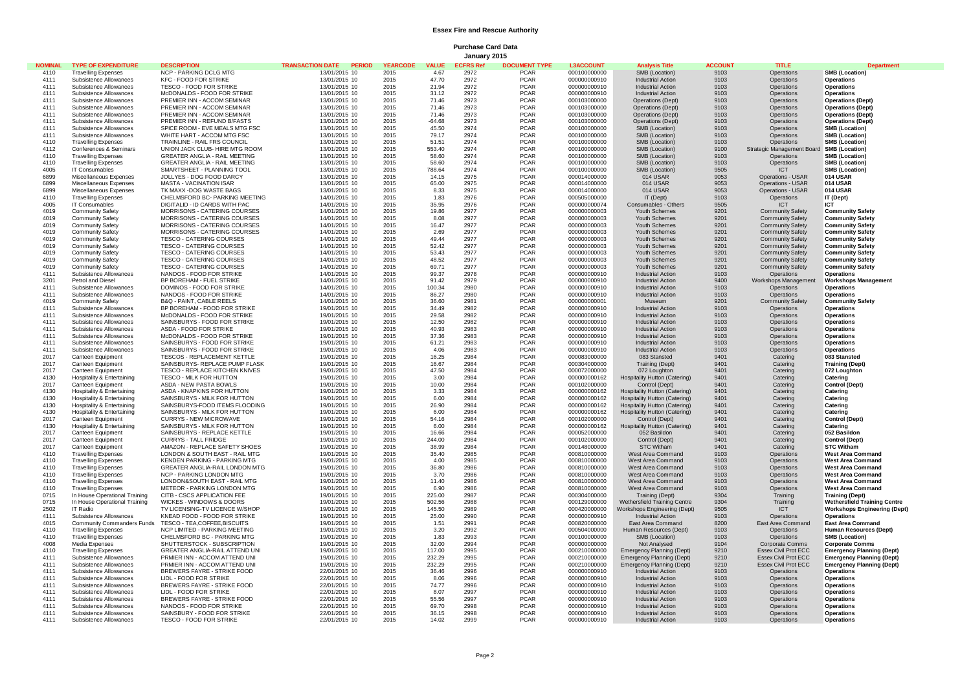## **Essex Fire and Rescue Authority**

**Purchase Card Data January 2015**

| <b>NOMINAL</b> | <b>TYPE OF EXPENDITURE</b>                               | <b>DESCRIPTION</b>                                              | <b>TRANSACTION DATE PERIOD</b> | <b>YEARCODE</b> | <b>VALUE</b>      | <b>ECFRS Ref</b> | <b>DOCUMENT TYPE</b>       | <b>L3ACCOUNT</b>             | <b>Analysis Title</b>                                | <b>ACCOUNT</b> | <b>TITLE</b>                              | <b>Department</b>                                    |
|----------------|----------------------------------------------------------|-----------------------------------------------------------------|--------------------------------|-----------------|-------------------|------------------|----------------------------|------------------------------|------------------------------------------------------|----------------|-------------------------------------------|------------------------------------------------------|
| 4110           | <b>Travelling Expenses</b>                               | <b>NCP - PARKING DCLG MTG</b>                                   | 13/01/2015 10                  | 2015            | 4.67              | 2972             | <b>PCAR</b>                | 000100000000                 | SMB (Location)                                       | 9103           | Operations                                | <b>SMB (Location)</b>                                |
| 4111           | Subsistence Allowances                                   | <b>KFC - FOOD FOR STRIKE</b>                                    | 13/01/2015 10                  | 2015            | 47.70             | 2972             | <b>PCAR</b>                | 000000000910                 | <b>Industrial Action</b>                             | 9103           | Operations                                | Operations                                           |
| 4111           | Subsistence Allowances                                   | TESCO - FOOD FOR STRIKE                                         | 13/01/2015 10                  | 2015            | 21.94             | 2972             | <b>PCAR</b>                | 000000000910                 | <b>Industrial Action</b>                             | 9103           | Operations                                | Operations                                           |
| 4111           | Subsistence Allowances                                   | McDONALDS - FOOD FOR STRIKE                                     | 13/01/2015 10                  | 2015            | 31.12             | 2972             | <b>PCAR</b>                | 000000000910                 | <b>Industrial Action</b>                             | 9103           | Operations                                | Operations                                           |
| 4111           | Subsistence Allowances                                   | PREMIER INN - ACCOM SEMINAR                                     | 13/01/2015 10                  | 2015            | 71.46             | 2973             | PCAR                       | 000103000000                 | Operations (Dept)                                    | 9103           | Operations                                | <b>Operations (Dept)</b>                             |
| 4111           | Subsistence Allowances                                   | PREMIER INN - ACCOM SEMINAR                                     | 13/01/2015 10                  | 2015            | 71.46             | 2973             | <b>PCAR</b>                | 000103000000                 | Operations (Dept)                                    | 9103           | Operations                                | <b>Operations (Dept)</b>                             |
| 4111<br>4111   | Subsistence Allowances                                   | PREMIER INN - ACCOM SEMINAR                                     | 13/01/2015 10                  | 2015            | 71.46             | 2973             | <b>PCAR</b>                | 000103000000                 | Operations (Dept)                                    | 9103           | Operations                                | <b>Operations (Dept)</b>                             |
| 4111           | Subsistence Allowances<br>Subsistence Allowances         | PREMIER INN - REFUND B/FASTS<br>SPICE ROOM - EVE MEALS MTG FSC  | 13/01/2015 10<br>13/01/2015 10 | 2015<br>2015    | $-64.68$<br>45.50 | 2973<br>2974     | <b>PCAR</b><br><b>PCAR</b> | 000103000000<br>000100000000 | Operations (Dept)<br>SMB (Location)                  | 9103<br>9103   | Operations<br>Operations                  | <b>Operations (Dept)</b><br><b>SMB (Location)</b>    |
| 4111           | Subsistence Allowances                                   | WHITE HART - ACCOM MTG FSC                                      | 13/01/2015 10                  | 2015            | 79.17             | 2974             | <b>PCAR</b>                | 000100000000                 | SMB (Location)                                       | 9103           | Operations                                | <b>SMB (Location)</b>                                |
| 4110           | <b>Travelling Expenses</b>                               | TRAINLINE - RAIL FRS COUNCIL                                    | 13/01/2015 10                  | 2015            | 51.51             | 2974             | <b>PCAR</b>                | 000100000000                 | SMB (Location)                                       | 9103           | Operations                                | <b>SMB (Location)</b>                                |
| 4112           | Conferences & Seminars                                   | UNION JACK CLUB- HIRE MTG ROOM                                  | 13/01/2015 10                  | 2015            | 553.40            | 2974             | <b>PCAR</b>                | 000100000000                 | SMB (Location)                                       | 9100           | Strategic Management Board SMB (Location) |                                                      |
| 4110           | <b>Travelling Expenses</b>                               | <b>GREATER ANGLIA - RAIL MEETING</b>                            | 13/01/2015 10                  | 2015            | 58.60             | 2974             | <b>PCAR</b>                | 000100000000                 | SMB (Location)                                       | 9103           | Operations                                | <b>SMB (Location)</b>                                |
| 4110           | <b>Travelling Expenses</b>                               | GREATER ANGLIA - RAIL MEETING                                   | 13/01/2015 10                  | 2015            | 58.60             | 2974             | <b>PCAR</b>                | 000100000000                 | SMB (Location)                                       | 9103           | Operations                                | <b>SMB</b> (Location)                                |
| 4005           | <b>IT Consumables</b>                                    | SMARTSHEET - PLANNING TOOL                                      | 13/01/2015 10                  | 2015            | 788.64            | 2974             | <b>PCAR</b>                | 000100000000                 | SMB (Location)                                       | 9505           | <b>ICT</b>                                | <b>SMB (Location)</b>                                |
| 6899           | Miscellaneous Expenses                                   | JOLLYES - DOG FOOD DARCY                                        | 13/01/2015 10                  | 2015            | 14.15             | 2975             | <b>PCAR</b>                | 000014000000                 | 014 USAR                                             | 9053           | Operations - USAR                         | 014 USAR                                             |
| 6899           | Miscellaneous Expenses                                   | <b>MASTA - VACINATION ISAR</b>                                  | 13/01/2015 10                  | 2015            | 65.00             | 2975             | <b>PCAR</b>                | 000014000000                 | 014 USAR                                             | 9053           | Operations - USAR                         | <b>014 USAR</b>                                      |
| 6899           | Miscellaneous Expenses                                   | TK MAXX -DOG WASTE BAGS                                         | 13/01/2015 10                  | 2015            | 8.33              | 2975             | <b>PCAR</b>                | 000014000000                 | 014 USAR                                             | 9053           | Operations - USAR                         | 014 USAR                                             |
| 4110           | <b>Travelling Expenses</b>                               | CHELMSFORD BC- PARKING MEETING                                  | 14/01/2015 10                  | 2015            | 1.83              | 2976             | <b>PCAR</b>                | 000505000000                 | IT (Dept)                                            | 9103           | Operations                                | IT (Dept)<br><b>ICT</b>                              |
| 4005<br>4019   | IT Consumables<br><b>Community Safety</b>                | DIGITALID - ID CARDS WITH PAC<br>MORRISONS - CATERING COURSES   | 14/01/2015 10<br>14/01/2015 10 | 2015<br>2015    | 35.95<br>19.86    | 2976<br>2977     | <b>PCAR</b><br><b>PCAR</b> | 000000000074<br>000000000003 | Consumables - Others<br>Youth Schemes                | 9505<br>9201   | <b>ICT</b><br><b>Community Safety</b>     | <b>Community Safety</b>                              |
| 4019           | <b>Community Safety</b>                                  | MORRISONS - CATERING COURSES                                    | 14/01/2015 10                  | 2015            | 8.08              | 2977             | <b>PCAR</b>                | 000000000003                 | Youth Schemes                                        | 9201           | <b>Community Safety</b>                   | <b>Community Safety</b>                              |
| 4019           | <b>Community Safety</b>                                  | MORRISONS - CATERING COURSES                                    | 14/01/2015 10                  | 2015            | 16.47             | 2977             | <b>PCAR</b>                | 000000000003                 | Youth Schemes                                        | 9201           | <b>Community Safety</b>                   | <b>Community Safety</b>                              |
| 4019           | <b>Community Safety</b>                                  | MORRISONS - CATERING COURSES                                    | 14/01/2015 10                  | 2015            | 2.69              | 2977             | <b>PCAR</b>                | 000000000003                 | Youth Schemes                                        | 9201           | <b>Community Safety</b>                   | <b>Community Safety</b>                              |
| 4019           | <b>Community Safety</b>                                  | TESCO - CATERING COURSES                                        | 14/01/2015 10                  | 2015            | 49.44             | 2977             | <b>PCAR</b>                | 000000000003                 | Youth Schemes                                        | 9201           | <b>Community Safety</b>                   | <b>Community Safety</b>                              |
| 4019           | <b>Community Safety</b>                                  | <b>TESCO - CATERING COURSES</b>                                 | 14/01/2015 10                  | 2015            | 52.42             | 2977             | <b>PCAR</b>                | 000000000003                 | Youth Schemes                                        | 9201           | <b>Community Safety</b>                   | <b>Community Safety</b>                              |
| 4019           | Community Safety                                         | <b>TESCO - CATERING COURSES</b>                                 | 14/01/2015 10                  | 2015            | 53.43             | 2977             | <b>PCAR</b>                | 000000000003                 | Youth Schemes                                        | 9201           | <b>Community Safety</b>                   | <b>Community Safety</b>                              |
| 4019           | <b>Community Safety</b>                                  | TESCO - CATERING COURSES                                        | 14/01/2015 10                  | 2015            | 48.52             | 2977             | <b>PCAR</b>                | 0000000000003                | Youth Schemes                                        | 9201           | <b>Community Safety</b>                   | <b>Community Safety</b>                              |
| 4019           | <b>Community Safety</b>                                  | TESCO - CATERING COURSES                                        | 14/01/2015 10                  | 2015            | 69.71             | 2977             | <b>PCAR</b>                | 000000000003                 | Youth Schemes                                        | 9201           | <b>Community Safety</b>                   | <b>Community Safety</b>                              |
| 4111           | Subsistence Allowances                                   | NANDOS - FOOD FOR STRIKE                                        | 14/01/2015 10                  | 2015            | 99.37             | 2978             | <b>PCAR</b>                | 000000000910                 | <b>Industrial Action</b>                             | 9103           | <b>Operations</b>                         | Operations                                           |
| 3201           | Petrol and Diesel                                        | BP BOREHAM - FUEL STRIKE                                        | 14/01/2015 10                  | 2015            | 91.42             | 2979             | <b>PCAR</b>                | 000000000910                 | <b>Industrial Action</b>                             | 9400           | Workshops Management                      | <b>Workshops Management</b>                          |
| 4111<br>4111   | Subsistence Allowances<br>Subsistence Allowances         | DOMINOS - FOOD FOR STRIKE<br>NANDOS - FOOD FOR STRIKE           | 14/01/2015 10<br>14/01/2015 10 | 2015<br>2015    | 100.34<br>86.27   | 2980<br>2980     | <b>PCAR</b><br><b>PCAR</b> | 000000000910<br>000000000910 | <b>Industrial Action</b><br><b>Industrial Action</b> | 9103<br>9103   | Operations<br>Operations                  | <b>Operations</b><br>Operations                      |
| 4019           | <b>Community Safety</b>                                  | <b>B&amp;Q - PAINT, CABLE REELS</b>                             | 14/01/2015 10                  | 2015            | 36.60             | 2981             | <b>PCAR</b>                | 000000000001                 | Museum                                               | 9201           | <b>Community Safety</b>                   | <b>Community Safety</b>                              |
| 4111           | Subsistence Allowances                                   | BP BOREHAM - FOOD FOR STRIKE                                    | 19/01/2015 10                  | 2015            | 34.49             | 2982             | <b>PCAR</b>                | 000000000910                 | <b>Industrial Action</b>                             | 9103           | Operations                                | Operations                                           |
| 4111           | Subsistence Allowances                                   | McDONALDS - FOOD FOR STRIKE                                     | 19/01/2015 10                  | 2015            | 29.58             | 2982             | <b>PCAR</b>                | 000000000910                 | <b>Industrial Action</b>                             | 9103           | <b>Operations</b>                         | <b>Operations</b>                                    |
| 4111           | Subsistence Allowances                                   | SAINSBURYS - FOOD FOR STRIKE                                    | 19/01/2015 10                  | 2015            | 12.50             | 2982             | <b>PCAR</b>                | 000000000910                 | <b>Industrial Action</b>                             | 9103           | Operations                                | <b>Operations</b>                                    |
| 4111           | Subsistence Allowances                                   | ASDA - FOOD FOR STRIKE                                          | 19/01/2015 10                  | 2015            | 40.93             | 2983             | <b>PCAR</b>                | 000000000910                 | <b>Industrial Action</b>                             | 9103           | Operations                                | <b>Operations</b>                                    |
| 4111           | Subsistence Allowances                                   | McDONALDS - FOOD FOR STRIKE                                     | 19/01/2015 10                  | 2015            | 37.36             | 2983             | <b>PCAR</b>                | 000000000910                 | <b>Industrial Action</b>                             | 9103           | Operations                                | Operations                                           |
| 4111           | Subsistence Allowances                                   | SAINSBURYS - FOOD FOR STRIKE                                    | 19/01/2015 10                  | 2015            | 61.21             | 2983             | <b>PCAR</b>                | 000000000910                 | <b>Industrial Action</b>                             | 9103           | Operations                                | Operations                                           |
| 4111           | Subsistence Allowances                                   | SAINSBURYS - FOOD FOR STRIKE                                    | 19/01/2015 10                  | 2015            | 4.06              | 2983             | PCAR                       | 000000000910                 | <b>Industrial Action</b>                             | 9103           | Operations                                | Operations                                           |
| 2017           | Canteen Equipment                                        | <b>TESCOS - REPLACEMENT KETTLE</b>                              | 19/01/2015 10                  | 2015            | 16.25             | 2984             | <b>PCAR</b>                | 000083000000                 | 083 Stansted                                         | 9401           | Catering                                  | 083 Stansted                                         |
| 2017           | Canteen Equipment                                        | SAINSBURYS- REPLACE PUMP FLASK                                  | 19/01/2015 10                  | 2015            | 16.67             | 2984             | <b>PCAR</b>                | 000304000000                 | Training (Dept)                                      | 9401           | Catering                                  | <b>Training (Dept)</b>                               |
| 2017<br>4130   | Canteen Equipment<br>Hospitality & Entertaining          | TESCO - REPLACE KITCHEN KNIVES<br>TESCO - MILK FOR HUTTON       | 19/01/2015 10<br>19/01/2015 10 | 2015<br>2015    | 47.50<br>3.00     | 2984<br>2984     | <b>PCAR</b><br><b>PCAR</b> | 000072000000<br>000000000162 | 072 Loughton<br><b>Hospitality Hutton (Catering)</b> | 9401<br>9401   | Catering<br>Catering                      | 072 Loughton<br>Catering                             |
| 2017           | Canteen Equipment                                        | ASDA - NEW PASTA BOWLS                                          | 19/01/2015 10                  | 2015            | 10.00             | 2984             | <b>PCAR</b>                | 000102000000                 | Control (Dept)                                       | 9401           | Catering                                  | Control (Dept)                                       |
| 4130           | Hospitality & Entertaining                               | ASDA - KNAPKINS FOR HUTTON                                      | 19/01/2015 10                  | 2015            | 3.33              | 2984             | <b>PCAR</b>                | 000000000162                 | <b>Hospitality Hutton (Catering)</b>                 | 9401           | Catering                                  | Catering                                             |
| 4130           | Hospitality & Entertaining                               | SAINSBURYS - MILK FOR HUTTON                                    | 19/01/2015 10                  | 2015            | 6.00              | 2984             | <b>PCAR</b>                | 000000000162                 | <b>Hospitality Hutton (Catering)</b>                 | 9401           | Catering                                  | Catering                                             |
| 4130           | Hospitality & Entertaining                               | SAINSBURYS-FOOD ITEMS FLOODING                                  | 19/01/2015 10                  | 2015            | 26.90             | 2984             | PCAR                       | 000000000162                 | <b>Hospitality Hutton (Catering)</b>                 | 9401           | Catering                                  | Catering                                             |
| 4130           | Hospitality & Entertaining                               | SAINSBURYS - MILK FOR HUTTON                                    | 19/01/2015 10                  | 2015            | 6.00              | 2984             | <b>PCAR</b>                | 000000000162                 | <b>Hospitality Hutton (Catering)</b>                 | 9401           | Catering                                  | Catering                                             |
| 2017           | Canteen Equipment                                        | CURRYS - NEW MICROWAVE                                          | 19/01/2015 10                  | 2015            | 54.16             | 2984             | <b>PCAR</b>                | 000102000000                 | Control (Dept)                                       | 9401           | Catering                                  | Control (Dept)                                       |
| 4130           | Hospitality & Entertaining                               | SAINSBURYS - MILK FOR HUTTON                                    | 19/01/2015 10                  | 2015            | 6.00              | 2984             | <b>PCAR</b>                | 000000000162                 | <b>Hospitality Hutton (Catering)</b>                 | 9401           | Catering                                  | Catering                                             |
| 2017           | Canteen Equipment                                        | SAINSBURYS - REPLACE KETTLE                                     | 19/01/2015 10                  | 2015            | 16.66             | 2984             | <b>PCAR</b>                | 000052000000                 | 052 Basildon                                         | 9401           | Catering                                  | 052 Basildon                                         |
| 2017           | Canteen Equipment                                        | <b>CURRYS - TALL FRIDGE</b>                                     | 19/01/2015 10                  | 2015            | 244.00            | 2984             | <b>PCAR</b>                | 000102000000                 | Control (Dept)                                       | 9401           | Catering                                  | Control (Dept)                                       |
| 2017<br>4110   | Canteen Equipment                                        | AMAZON - REPLACE SAFETY SHOES<br>LONDON & SOUTH EAST - RAIL MTG | 19/01/2015 10                  | 2015            | 38.99<br>35.40    | 2984<br>2985     | <b>PCAR</b><br><b>PCAR</b> | 000148000000                 | <b>STC Witham</b>                                    | 9401           | Catering                                  | <b>STC Witham</b>                                    |
| 4110           | <b>Travelling Expenses</b><br><b>Travelling Expenses</b> | KENDEN PARKING - PARKING MTG                                    | 19/01/2015 10<br>19/01/2015 10 | 2015<br>2015    | 4.00              | 2985             | <b>PCAR</b>                | 000810000000<br>000810000000 | West Area Command<br>West Area Command               | 9103<br>9103   | Operations<br>Operations                  | <b>West Area Command</b><br><b>West Area Command</b> |
| 4110           | <b>Travelling Expenses</b>                               | GREATER ANGLIA-RAIL LONDON MTG                                  | 19/01/2015 10                  | 2015            | 36.80             | 2986             | <b>PCAR</b>                | 000810000000                 | West Area Command                                    | 9103           | Operations                                | <b>West Area Command</b>                             |
| 4110           | <b>Travelling Expenses</b>                               | NCP - PARKING LONDON MTG                                        | 19/01/2015 10                  | 2015            | 3.70              | 2986             | <b>PCAR</b>                | 000810000000                 | West Area Command                                    | 9103           | Operations                                | <b>West Area Command</b>                             |
| 4110           | <b>Travelling Expenses</b>                               | LONDON&SOUTH EAST - RAIL MTG                                    | 19/01/2015 10                  | 2015            | 11.40             | 2986             | <b>PCAR</b>                | 000810000000                 | West Area Command                                    | 9103           | Operations                                | <b>West Area Command</b>                             |
| 4110           | <b>Travelling Expenses</b>                               | METEOR - PARKING LONDON MTG                                     | 19/01/2015 10                  | 2015            | 6.90              | 2986             | PCAR                       | 000810000000                 | West Area Command                                    | 9103           | Operations                                | <b>West Area Command</b>                             |
| 0715           | In House Operational Training                            | CITB - CSCS APPLICATION FEE                                     | 19/01/2015 10                  | 2015            | 225.00            | 2987             | <b>PCAR</b>                | 000304000000                 | Training (Dept)                                      | 9304           | Training                                  | <b>Training (Dept)</b>                               |
| 0715           | In House Operational Training                            | WICKES - WINDOWS & DOORS                                        | 19/01/2015 10                  | 2015            | 502.56            | 2988             | <b>PCAR</b>                | 000129000000                 | Wethersfield Training Centre                         | 9304           | Training                                  | <b>Wethersfield Training Centre</b>                  |
| 2502           | IT Radio                                                 | TV LICENSING-TV LICENCE W/SHOP                                  | 19/01/2015 10                  | 2015            | 145.50            | 2989             | <b>PCAR</b>                | 000420000000                 | Workshops Engineering (Dept)                         | 9505           | <b>ICT</b>                                | <b>Workshops Engineering (Dept)</b>                  |
| 4111<br>4015   | Subsistence Allowances                                   | KNEAD FOOD - FOOD FOR STRIKE<br>TESCO - TEA.COFFEE.BISCUITS     | 19/01/2015 10<br>19/01/2015 10 | 2015<br>2015    | 25.00<br>1.51     | 2990<br>2991     | <b>PCAR</b><br><b>PCAR</b> | 000000000910<br>000820000000 | <b>Industrial Action</b><br><b>East Area Command</b> | 9103<br>8200   | Operations                                | <b>Operations</b><br><b>East Area Command</b>        |
| 4110           | Community Commanders Funds<br><b>Travelling Expenses</b> | NCP LIMITED - PARKING MEETING                                   | 19/01/2015 10                  | 2015            | 3.20              | 2992             | <b>PCAR</b>                | 000504000000                 | Human Resources (Dept)                               | 9103           | East Area Command<br>Operations           | <b>Human Resources (Dept)</b>                        |
| 4110           | <b>Travelling Expenses</b>                               | CHELMSFORD BC - PARKING MTG                                     | 19/01/2015 10                  | 2015            | 1.83              | 2993             | <b>PCAR</b>                | 000100000000                 | SMB (Location)                                       | 9103           | Operations                                | <b>SMB (Location)</b>                                |
| 4008           | Media Expenses                                           | SHUTTERSTOCK - SUBSCRIPTION                                     | 19/01/2015 10                  | 2015            | 32.00             | 2994             | <b>PCAR</b>                | 000000000000                 | Not Analysed                                         | 9104           | Corporate Comms                           | <b>Corporate Comms</b>                               |
| 4110           | <b>Travelling Expenses</b>                               | GREATER ANGLIA-RAIL ATTEND UNI                                  | 19/01/2015 10                  | 2015            | 117.00            | 2995             | <b>PCAR</b>                | 000210000000                 | <b>Emergency Planning (Dept)</b>                     | 9210           | Essex Civil Prot ECC                      | <b>Emergency Planning (Dept)</b>                     |
| 4111           | Subsistence Allowances                                   | PRMIER INN - ACCOM ATTEND UNI                                   | 19/01/2015 10                  | 2015            | 232.29            | 2995             | <b>PCAR</b>                | 000210000000                 | <b>Emergency Planning (Dept)</b>                     | 9210           | Essex Civil Prot ECC                      | <b>Emergency Planning (Dept)</b>                     |
| 4111           | Subsistence Allowances                                   | PRMIER INN - ACCOM ATTEND UNI                                   | 19/01/2015 10                  | 2015            | 232.29            | 2995             | <b>PCAR</b>                | 000210000000                 | <b>Emergency Planning (Dept)</b>                     | 9210           | Essex Civil Prot ECC                      | <b>Emergency Planning (Dept)</b>                     |
| 4111           | Subsistence Allowances                                   | BREWERS FAYRE - STRIKE FOOD                                     | 22/01/2015 10                  | 2015            | 36.46             | 2996             | PCAR                       | 000000000910                 | <b>Industrial Action</b>                             | 9103           | Operations                                | <b>Operations</b>                                    |
| 4111           | Subsistence Allowances                                   | LIDL - FOOD FOR STRIKE                                          | 22/01/2015 10                  | 2015            | 8.06              | 2996             | <b>PCAR</b>                | 000000000910                 | <b>Industrial Action</b>                             | 9103           | Operations                                | <b>Operations</b>                                    |
| 4111           | Subsistence Allowances                                   | BREWERS FAYRE - STRIKE FOOD                                     | 22/01/2015 10                  | 2015            | 74.77             | 2996             | <b>PCAR</b>                | 000000000910                 | <b>Industrial Action</b>                             | 9103           | Operations                                | Operations                                           |
| 4111           | Subsistence Allowances                                   | LIDL - FOOD FOR STRIKE                                          | 22/01/2015 10                  | 2015            | 8.07              | 2997             | <b>PCAR</b>                | 000000000910                 | <b>Industrial Action</b>                             | 9103           | Operations                                | Operations                                           |
| 4111<br>4111   | Subsistence Allowances<br>Subsistence Allowances         | BREWERS FAYRE - STRIKE FOOD<br>NANDOS - FOOD FOR STRIKE         | 22/01/2015 10<br>22/01/2015 10 | 2015<br>2015    | 55.56<br>69.70    | 2997<br>2998     | <b>PCAR</b><br><b>PCAR</b> | 000000000910<br>000000000910 | <b>Industrial Action</b><br><b>Industrial Action</b> | 9103<br>9103   | Operations<br>Operations                  | Operations<br>Operations                             |
| 4111           | Subsistence Allowances                                   | SAINSBURY - FOOD FOR STRIKE                                     | 22/01/2015 10                  | 2015            | 36.15             | 2998             | <b>PCAR</b>                | 000000000910                 | Industrial Action                                    | 9103           | Operations                                | <b>Operations</b>                                    |
| 4111           | Subsistence Allowances                                   | TESCO - FOOD FOR STRIKE                                         | 22/01/2015 10                  | 2015            | 14.02             | 2999             | <b>PCAR</b>                | 000000000910                 | <b>Industrial Action</b>                             | 9103           | Operations                                | <b>Operations</b>                                    |
|                |                                                          |                                                                 |                                |                 |                   |                  |                            |                              |                                                      |                |                                           |                                                      |